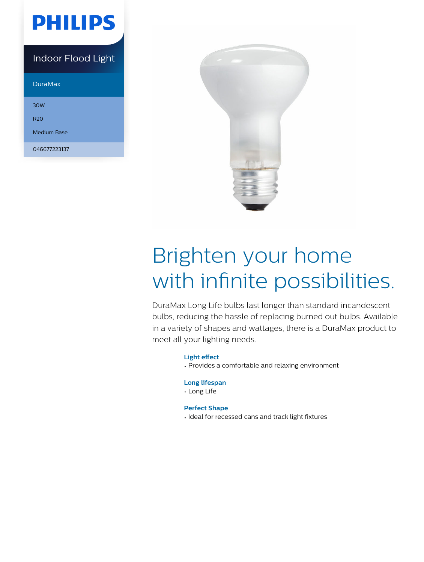

Indoor Flood Light

DuraMax

30W

R20

Medium Base

046677223137



# Brighten your home with infinite possibilities.

DuraMax Long Life bulbs last longer than standard incandescent bulbs, reducing the hassle of replacing burned out bulbs. Available in a variety of shapes and wattages, there is a DuraMax product to meet all your lighting needs.

### **Light effect**

• Provides a comfortable and relaxing environment

### **Long lifespan**

• Long Life

### **Perfect Shape**

• Ideal for recessed cans and track light fixtures